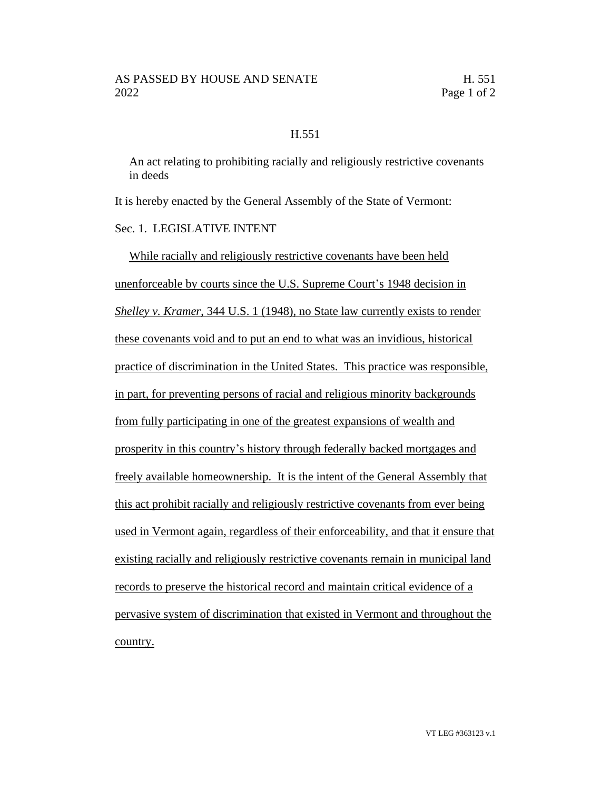## H.551

An act relating to prohibiting racially and religiously restrictive covenants in deeds

It is hereby enacted by the General Assembly of the State of Vermont:

## Sec. 1. LEGISLATIVE INTENT

While racially and religiously restrictive covenants have been held unenforceable by courts since the U.S. Supreme Court's 1948 decision in *Shelley v. Kramer*, 344 U.S. 1 (1948), no State law currently exists to render these covenants void and to put an end to what was an invidious, historical practice of discrimination in the United States. This practice was responsible, in part, for preventing persons of racial and religious minority backgrounds from fully participating in one of the greatest expansions of wealth and prosperity in this country's history through federally backed mortgages and freely available homeownership. It is the intent of the General Assembly that this act prohibit racially and religiously restrictive covenants from ever being used in Vermont again, regardless of their enforceability, and that it ensure that existing racially and religiously restrictive covenants remain in municipal land records to preserve the historical record and maintain critical evidence of a pervasive system of discrimination that existed in Vermont and throughout the country.